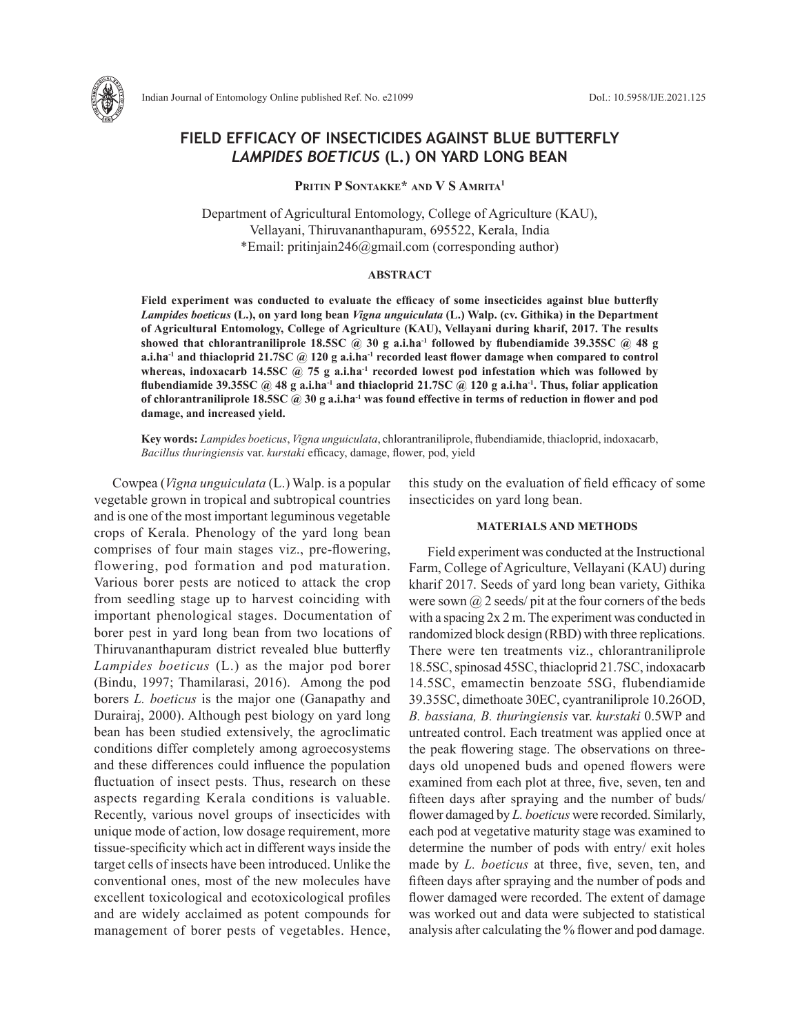

# **FIELD EFFICACY OF INSECTICIDES AGAINST BLUE BUTTERFLY**  *LAMPIDES BOETICUS* **(L.) ON YARD LONG BEAN**

**Pritin P Sontakke\* and V S Amrita1**

Department of Agricultural Entomology, College of Agriculture (KAU), Vellayani, Thiruvananthapuram, 695522, Kerala, India \*Email: pritinjain246@gmail.com (corresponding author)

## **ABSTRACT**

**Field experiment was conducted to evaluate the efficacy of some insecticides against blue butterfly**  *Lampides boeticus* **(L.), on yard long bean** *Vigna unguiculata* **(L.) Walp. (cv. Githika) in the Department of Agricultural Entomology, College of Agriculture (KAU), Vellayani during kharif, 2017. The results showed that chlorantraniliprole 18.5SC @ 30 g a.i.ha-1 followed by flubendiamide 39.35SC @ 48 g a.i.ha-1 and thiacloprid 21.7SC @ 120 g a.i.ha-1 recorded least flower damage when compared to control**  whereas, indoxacarb 14.5SC @ 75 g a.i.ha<sup>-1</sup> recorded lowest pod infestation which was followed by **flubendiamide 39.35SC @ 48 g a.i.ha-1 and thiacloprid 21.7SC @ 120 g a.i.ha-1. Thus, foliar application of chlorantraniliprole 18.5SC @ 30 g a.i.ha-1 was found effective in terms of reduction in flower and pod damage, and increased yield.**

**Key words:** *Lampides boeticus*, *Vigna unguiculata*, chlorantraniliprole, flubendiamide, thiacloprid, indoxacarb, *Bacillus thuringiensis* var. *kurstaki* efficacy, damage, flower, pod, yield

Cowpea (*Vigna unguiculata* (L.) Walp. is a popular vegetable grown in tropical and subtropical countries and is one of the most important leguminous vegetable crops of Kerala. Phenology of the yard long bean comprises of four main stages viz., pre-flowering, flowering, pod formation and pod maturation. Various borer pests are noticed to attack the crop from seedling stage up to harvest coinciding with important phenological stages. Documentation of borer pest in yard long bean from two locations of Thiruvananthapuram district revealed blue butterfly *Lampides boeticus* (L.) as the major pod borer (Bindu, 1997; Thamilarasi, 2016). Among the pod borers *L. boeticus* is the major one (Ganapathy and Durairaj, 2000). Although pest biology on yard long bean has been studied extensively, the agroclimatic conditions differ completely among agroecosystems and these differences could influence the population fluctuation of insect pests. Thus, research on these aspects regarding Kerala conditions is valuable. Recently, various novel groups of insecticides with unique mode of action, low dosage requirement, more tissue-specificity which act in different ways inside the target cells of insects have been introduced. Unlike the conventional ones, most of the new molecules have excellent toxicological and ecotoxicological profiles and are widely acclaimed as potent compounds for management of borer pests of vegetables. Hence, this study on the evaluation of field efficacy of some insecticides on yard long bean.

### **MATERIALS AND METHODS**

Field experiment was conducted at the Instructional Farm, College of Agriculture, Vellayani (KAU) during kharif 2017. Seeds of yard long bean variety, Githika were sown  $\omega$  2 seeds/ pit at the four corners of the beds with a spacing 2x 2 m. The experiment was conducted in randomized block design (RBD) with three replications. There were ten treatments viz., chlorantraniliprole 18.5SC, spinosad 45SC, thiacloprid 21.7SC, indoxacarb 14.5SC, emamectin benzoate 5SG, flubendiamide 39.35SC, dimethoate 30EC, cyantraniliprole 10.26OD, *B. bassiana, B. thuringiensis* var. *kurstaki* 0.5WP and untreated control. Each treatment was applied once at the peak flowering stage. The observations on threedays old unopened buds and opened flowers were examined from each plot at three, five, seven, ten and fifteen days after spraying and the number of buds/ flower damaged by *L. boeticus* were recorded. Similarly, each pod at vegetative maturity stage was examined to determine the number of pods with entry/ exit holes made by *L. boeticus* at three, five, seven, ten, and fifteen days after spraying and the number of pods and flower damaged were recorded. The extent of damage was worked out and data were subjected to statistical analysis after calculating the % flower and pod damage.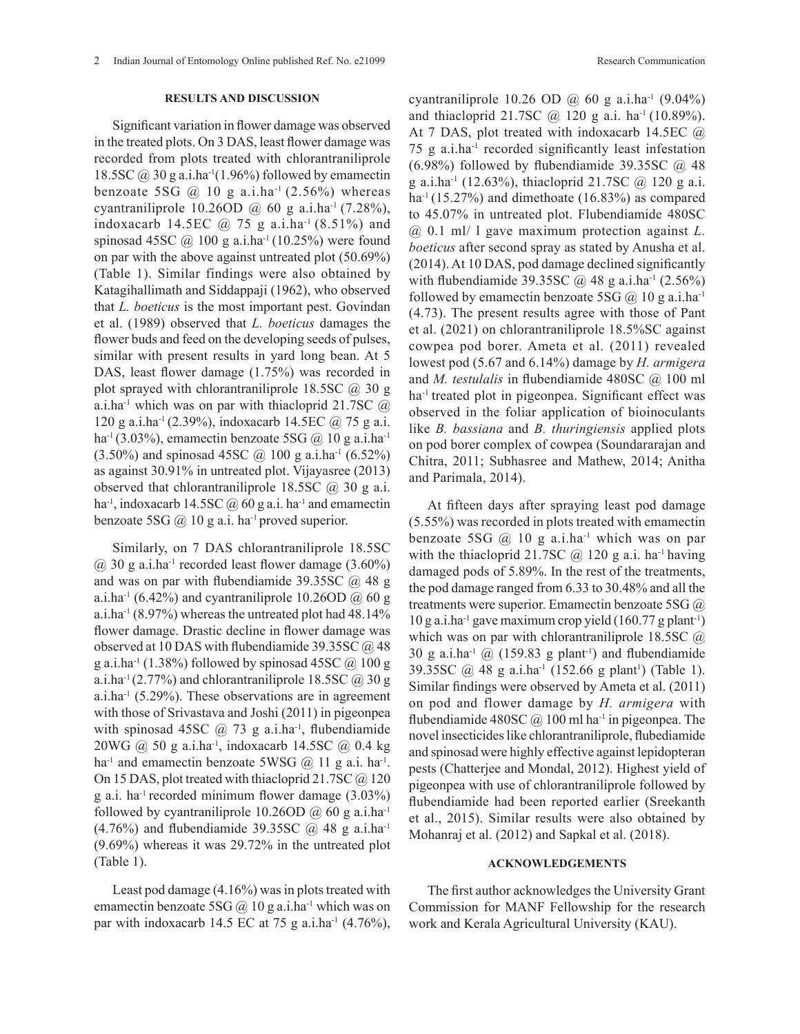### **RESULTS AND DISCUSSION**

Significant variation in flower damage was observed in the treated plots. On 3 DAS, least flower damage was recorded from plots treated with chlorantraniliprole 18.5SC  $\omega$  30 g a.i.ha<sup>-1</sup>(1.96%) followed by emamectin benzoate 5SG  $\omega$  10 g a.i.ha<sup>-1</sup> (2.56%) whereas cyantraniliprole 10.26OD  $\omega$  60 g a.i.ha<sup>-1</sup> (7.28%), indoxacarb 14.5EC  $@$  75 g a.i.ha<sup>-1</sup> (8.51%) and spinosad 45SC  $\omega$  100 g a.i.ha<sup>-1</sup> (10.25%) were found on par with the above against untreated plot (50.69%) (Table 1). Similar findings were also obtained by Katagihallimath and Siddappaji (1962), who observed that *L. boeticus* is the most important pest. Govindan et al. (1989) observed that *L. boeticus* damages the flower buds and feed on the developing seeds of pulses, similar with present results in yard long bean. At 5 DAS, least flower damage (1.75%) was recorded in plot sprayed with chlorantraniliprole 18.5SC  $\omega$  30 g a.i.ha<sup>-1</sup> which was on par with thiacloprid 21.7SC  $\omega$ 120 g a.i.ha-1 (2.39%), indoxacarb 14.5EC @ 75 g a.i. ha<sup>-1</sup> (3.03%), emamectin benzoate 5SG  $\omega$  10 g a.i.ha<sup>-1</sup>  $(3.50\%)$  and spinosad 45SC  $\omega$  100 g a.i.ha<sup>-1</sup> (6.52%) as against 30.91% in untreated plot. Vijayasree (2013) observed that chlorantraniliprole 18.5SC  $\omega$  30 g a.i. ha<sup>-1</sup>, indoxacarb 14.5SC  $\omega$  60 g a.i. ha<sup>-1</sup> and emamectin benzoate 5SG  $\omega$  10 g a.i. ha<sup>-1</sup> proved superior.

Similarly, on 7 DAS chlorantraniliprole 18.5SC  $\omega$  30 g a.i.ha<sup>-1</sup> recorded least flower damage (3.60%) and was on par with flubendiamide 39.35SC  $\omega$  48 g a.i.ha<sup>-1</sup> (6.42%) and cyantraniliprole 10.26OD  $\omega$  60 g a.i.ha<sup>-1</sup> (8.97%) whereas the untreated plot had  $48.14\%$ flower damage. Drastic decline in flower damage was observed at 10 DAS with flubendiamide 39.35SC @ 48 g a.i.ha<sup>-1</sup> (1.38%) followed by spinosad 45SC  $\omega$  100 g a.i.ha<sup>-1</sup> (2.77%) and chlorantraniliprole 18.5SC  $\omega$  30 g a.i.ha $^{-1}$  (5.29%). These observations are in agreement with those of Srivastava and Joshi (2011) in pigeonpea with spinosad 45SC  $\omega$  73 g a.i.ha<sup>-1</sup>, flubendiamide 20WG @ 50 g a.i.ha-1, indoxacarb 14.5SC @ 0.4 kg ha<sup>-1</sup> and emamectin benzoate 5WSG  $\omega$  11 g a.i. ha<sup>-1</sup>. On 15 DAS, plot treated with thiacloprid 21.7SC @ 120 g a.i. ha<sup>-1</sup> recorded minimum flower damage  $(3.03\%)$ followed by cyantraniliprole 10.26OD  $\omega$  60 g a.i.ha<sup>-1</sup>  $(4.76\%)$  and flubendiamide 39.35SC  $\omega$  48 g a.i.ha<sup>-1</sup> (9.69%) whereas it was 29.72% in the untreated plot (Table 1).

Least pod damage (4.16%) was in plots treated with emamectin benzoate 5SG  $\omega$  10 g a.i.ha<sup>-1</sup> which was on par with indoxacarb 14.5 EC at 75 g a.i.ha<sup>-1</sup> (4.76%), cyantraniliprole 10.26 OD @ 60 g a.i.ha<sup>-1</sup>  $(9.04\%)$ and thiacloprid 21.7SC  $\omega$  120 g a.i. ha<sup>-1</sup> (10.89%). At 7 DAS, plot treated with indoxacarb 14.5EC @ 75 g a.i.ha-1 recorded significantly least infestation (6.98%) followed by flubendiamide 39.35SC  $\omega$  48 g a.i.ha<sup>-1</sup> (12.63%), thiacloprid 21.7SC  $\omega$  120 g a.i. ha<sup>-1</sup> (15.27%) and dimethoate (16.83%) as compared to 45.07% in untreated plot. Flubendiamide 480SC @ 0.1 ml/ l gave maximum protection against *L. boeticus* after second spray as stated by Anusha et al. (2014). At 10 DAS, pod damage declined significantly with flubendiamide 39.35SC  $\omega$  48 g a.i.ha<sup>-1</sup> (2.56%) followed by emamectin benzoate 5SG  $(a)$  10 g a.i.ha<sup>-1</sup> (4.73). The present results agree with those of Pant et al. (2021) on chlorantraniliprole 18.5%SC against cowpea pod borer. Ameta et al. (2011) revealed lowest pod (5.67 and 6.14%) damage by *H. armigera* and *M. testulalis* in flubendiamide 480SC @ 100 ml ha<sup>-1</sup> treated plot in pigeonpea. Significant effect was observed in the foliar application of bioinoculants like *B. bassiana* and *B. thuringiensis* applied plots on pod borer complex of cowpea (Soundararajan and Chitra, 2011; Subhasree and Mathew, 2014; Anitha and Parimala, 2014).

At fifteen days after spraying least pod damage (5.55%) was recorded in plots treated with emamectin benzoate 5SG  $\omega$  10 g a.i.ha<sup>-1</sup> which was on par with the thiacloprid 21.7SC  $\omega$  120 g a.i. ha<sup>-1</sup> having damaged pods of 5.89%. In the rest of the treatments, the pod damage ranged from 6.33 to 30.48% and all the treatments were superior. Emamectin benzoate 5SG @  $10$  g a.i.ha<sup>-1</sup> gave maximum crop yield  $(160.77 \text{ g plant}^{-1})$ which was on par with chlorantraniliprole 18.5SC  $\omega$ 30 g a.i.ha<sup>-1</sup>  $\omega$  (159.83 g plant<sup>-1</sup>) and flubendiamide 39.35SC  $@$  48 g a.i.ha<sup>-1</sup> (152.66 g plant<sup>1</sup>) (Table 1). Similar findings were observed by Ameta et al. (2011) on pod and flower damage by *H. armigera* with flubendiamide 480SC  $\omega$  100 ml ha<sup>-1</sup> in pigeonpea. The novel insecticides like chlorantraniliprole, flubediamide and spinosad were highly effective against lepidopteran pests (Chatterjee and Mondal, 2012). Highest yield of pigeonpea with use of chlorantraniliprole followed by flubendiamide had been reported earlier (Sreekanth et al., 2015). Similar results were also obtained by Mohanraj et al. (2012) and Sapkal et al. (2018).

#### **ACKNOWLEDGEMENTS**

The first author acknowledges the University Grant Commission for MANF Fellowship for the research work and Kerala Agricultural University (KAU).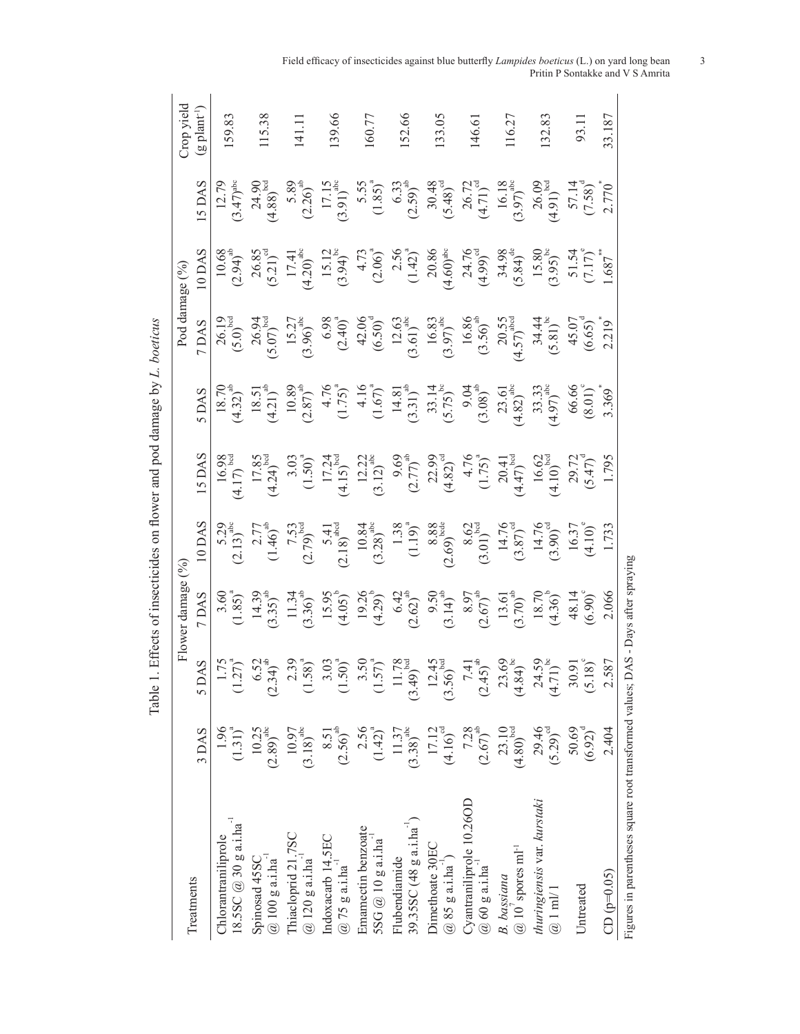| Ì                                                                                                                                                                                                                              |
|--------------------------------------------------------------------------------------------------------------------------------------------------------------------------------------------------------------------------------|
|                                                                                                                                                                                                                                |
| ١                                                                                                                                                                                                                              |
| í                                                                                                                                                                                                                              |
| i                                                                                                                                                                                                                              |
| ;<br>ֺ֪֪֪֧֪֪֦֧֧֧֧֪֧֪֪֪֪֪֪֪֪֪֪֪֛֪֪֛֪֪֛֪֪֪֪֪֛֪֪֪֪֪֛֚֚֚֚֚֚֚֚֚֚֚֚֚֚֚֚֚֚֚֕֝֝֝֝֝֬֝֬֝֬֝֟֝֬֝֬֝֬֝֬<br>I                                                                                                                                 |
| Ì                                                                                                                                                                                                                              |
| chines and contributed to contribute the contributed of the state of contributed on the contributed of the contributed on the contributed of the contributed on the contributed on the contributed on the contributed on the c |
| .<br>ל<br>ł                                                                                                                                                                                                                    |
| $ -$<br>;<br>}<br>š<br>P<br>$\frac{1}{1}$                                                                                                                                                                                      |
|                                                                                                                                                                                                                                |
| $\overline{a}$<br>;<br>I                                                                                                                                                                                                       |

|                                                         |                                             |                                                                                                                                                                                                                                                                                   | Flower damage $(\%$                                                                                                                                                                                                                                                                                                         |                                                                                                                                                                                                                                                                                                                                                   |                                                                                                                                                                                                                                                                                                                                                    |                                                                                                                                                                                                                                                                                                                                  | Pod damage (%)                                                                                                                                                                                                                                                                                                                                                 |                                                                                                                                                                                                                                                                                                                                        |                                                                                                                                                                      | bləiv qorC                 |
|---------------------------------------------------------|---------------------------------------------|-----------------------------------------------------------------------------------------------------------------------------------------------------------------------------------------------------------------------------------------------------------------------------------|-----------------------------------------------------------------------------------------------------------------------------------------------------------------------------------------------------------------------------------------------------------------------------------------------------------------------------|---------------------------------------------------------------------------------------------------------------------------------------------------------------------------------------------------------------------------------------------------------------------------------------------------------------------------------------------------|----------------------------------------------------------------------------------------------------------------------------------------------------------------------------------------------------------------------------------------------------------------------------------------------------------------------------------------------------|----------------------------------------------------------------------------------------------------------------------------------------------------------------------------------------------------------------------------------------------------------------------------------------------------------------------------------|----------------------------------------------------------------------------------------------------------------------------------------------------------------------------------------------------------------------------------------------------------------------------------------------------------------------------------------------------------------|----------------------------------------------------------------------------------------------------------------------------------------------------------------------------------------------------------------------------------------------------------------------------------------------------------------------------------------|----------------------------------------------------------------------------------------------------------------------------------------------------------------------|----------------------------|
| Treatments                                              | 3 DAS                                       | 5                                                                                                                                                                                                                                                                                 | 7 DAS                                                                                                                                                                                                                                                                                                                       |                                                                                                                                                                                                                                                                                                                                                   |                                                                                                                                                                                                                                                                                                                                                    | 5 DAS                                                                                                                                                                                                                                                                                                                            | 7 DAS                                                                                                                                                                                                                                                                                                                                                          | IODAS                                                                                                                                                                                                                                                                                                                                  | 5 DA!                                                                                                                                                                | $(g$ plant <sup>-1</sup> ) |
| 18.5SC @ 30 g a.1 ha<br>Chlorantraniliprole             | 1.96<br>$(1.31)^{a}$                        |                                                                                                                                                                                                                                                                                   |                                                                                                                                                                                                                                                                                                                             |                                                                                                                                                                                                                                                                                                                                                   |                                                                                                                                                                                                                                                                                                                                                    |                                                                                                                                                                                                                                                                                                                                  |                                                                                                                                                                                                                                                                                                                                                                |                                                                                                                                                                                                                                                                                                                                        | $12.79$<br>$(3.47)$ <sup>ab</sup>                                                                                                                                    | 159.83                     |
| $@100g$ a.i.ha <sup>-1</sup><br>Spinosad 45SC           | $\left(2.89\right)^{\rm abc}$<br>10.25      |                                                                                                                                                                                                                                                                                   |                                                                                                                                                                                                                                                                                                                             |                                                                                                                                                                                                                                                                                                                                                   |                                                                                                                                                                                                                                                                                                                                                    |                                                                                                                                                                                                                                                                                                                                  |                                                                                                                                                                                                                                                                                                                                                                |                                                                                                                                                                                                                                                                                                                                        | $24.90$<br>(4.88) <sup>bcc</sup>                                                                                                                                     | 115.38                     |
| Thiacloprid 21.7SC<br>$@120g$ a.i.ha                    | $\left( 3.18\right) ^{\text{abc}}$<br>10.97 |                                                                                                                                                                                                                                                                                   |                                                                                                                                                                                                                                                                                                                             |                                                                                                                                                                                                                                                                                                                                                   |                                                                                                                                                                                                                                                                                                                                                    |                                                                                                                                                                                                                                                                                                                                  |                                                                                                                                                                                                                                                                                                                                                                |                                                                                                                                                                                                                                                                                                                                        |                                                                                                                                                                      | 141.1                      |
| Indoxacarb 14.5EC<br>$@75g$ a.i.ha                      | $(2.56)^{ab}$<br>8.51                       |                                                                                                                                                                                                                                                                                   |                                                                                                                                                                                                                                                                                                                             |                                                                                                                                                                                                                                                                                                                                                   |                                                                                                                                                                                                                                                                                                                                                    |                                                                                                                                                                                                                                                                                                                                  |                                                                                                                                                                                                                                                                                                                                                                |                                                                                                                                                                                                                                                                                                                                        | $5.89$<br>$(2.26)^{at}$<br>$17.15$<br>$(3.91)^{ab}$                                                                                                                  | 139.66                     |
| Emamectin benzoate<br>$SSG@10g$ a.i.ha                  | $(1.42)^{a}$<br>2.56                        | 1.75<br>$(1.27)^{a}$<br>$(1.58)^{a}$<br>$(1.59)^{a}$<br>$(1.50)^{a}$<br>$(1.50)^{a}$<br>$(1.50)^{a}$<br>$(1.50)^{a}$<br>$(1.50)^{a}$<br>$(1.50)^{a}$<br>$(1.50)^{a}$<br>$(1.50)^{a}$<br>$(1.50)^{a}$<br>$(1.50)^{a}$<br>$(1.50)^{a}$<br>$(1.50)^{a}$<br>$(1.50)^{a}$<br>$(1.50)^$ | $\begin{array}{c} 3.60 \\ (1.85)^{4} \\ (3.35)^{4} \\ (1.36)^{4} \\ (3.37)^{4} \\ (1.39)^{4} \\ (3.30)^{4} \\ (4.05)^{5} \\ (5.02)^{6} \\ (5.02)^{4} \\ (6.02)^{4} \\ (7.02)^{4} \\ (9.02)^{4} \\ (1.02)^{4} \\ (1.02)^{4} \\ (1.02)^{4} \\ (1.02)^{4} \\ (1.02)^{4} \\ (1.02)^{4} \\ (1.02)^{4} \\ (1.02)^{4} \\ (1.02)^{$ | 5.29<br>$(2.13)^{\frac{3}{2}}$<br>$(1.46)^{\frac{3}{2}}$<br>$(7.53)^{\frac{3}{2}}$<br>$(7.53)^{\frac{3}{2}}$<br>$(7.53)^{\frac{3}{2}}$<br>$(7.53)^{\frac{3}{2}}$<br>$(7.53)^{\frac{3}{2}}$<br>$(7.53)^{\frac{3}{2}}$<br>$(7.53)^{\frac{3}{2}}$<br>$(7.53)^{\frac{3}{2}}$<br>$(7.53)^{\frac{3}{2}}$<br>$(7.53)^{\frac{3}{2}}$<br>$(7.53)^{\frac{3$ | $\begin{array}{c c} \n\hline\n16.98 \\ 17.85 \\ 17.85 \\ 17.85 \\ 17.85 \\ 17.85 \\ 17.85 \\ 17.24 \\ 17.24 \\ 17.24 \\ 17.24 \\ 17.24 \\ 17.24 \\ 17.24 \\ 17.24 \\ 17.24 \\ 17.24 \\ 17.24 \\ 17.24 \\ 17.24 \\ 17.24 \\ 17.24 \\ 17.24 \\ 17.24 \\ 17.24 \\ 17.24 \\ 17.24 \\ 17.24 \\ 17.24 \\ 17.24 \\ 17.24 \\ 17.24 \\ 17.24 \\ 17.24 \\ 1$ | $\begin{array}{r} 18.70 \\ 18.51 \\ (4.32)^{a} \\ (1.75) \\ (1.75) \\ (1.75) \\ (1.75) \\ (1.75) \\ (1.67) \\ (1.67) \\ (1.61) \\ (1.61) \\ (1.61) \\ (1.61) \\ (1.61) \\ (1.61) \\ (1.61) \\ (1.62) \\ (1.63) \\ (1.61) \\ (1.62) \\ (1.63) \\ (1.64) \\ (1.65) \\ (1.66) \\ (1.66) \\ (1.67) \\ (1.68) \\ (1.69) \\ (1.60) \\$ | $\begin{bmatrix} 10.19 \\ 70.0 \end{bmatrix}^{36} \\ (5.0)_{\text{1}}^{52} \\ (5.0)_{\text{1}}^{53} \\ (5.0)_{\text{1}}^{52} \\ (5.0)_{\text{1}}^{53} \\ (5.0)_{\text{2}}^{54} \\ (5.0)_{\text{3}}^{54} \\ (5.0)_{\text{4}}^{53} \\ (5.0)_{\text{5}}^{54} \\ (5.0)_{\text{6}}^{53} \\ (5.0)_{\text{7}}^{54} \\ (5.0)_{\text{8}}^{54} \\ (5.0)_{\text{9}}^{54}$ | $\begin{array}{c} 10.68 \\ (2.94)^* \\ (5.21)^4 \\ (1.20)^* \\ (1.41)^* \\ (3.94)^* \\ (1.420)^* \\ (1.41)^* \\ (1.420)^* \\ (1.41)^* \\ (1.420)^* \\ (1.430)^* \\ (1.420)^* \\ (1.430)^* \\ (1.410)^* \\ (1.420)^* \\ (1.430)^* \\ (1.430)^* \\ (1.430)^* \\ (1.430)^* \\ (1.430)^* \\ (1.430)^* \\ (1.430)^* \\ (1.430)^* \\ (1.430$ |                                                                                                                                                                      | 160.77                     |
| 39.35SC (48 g a. i. ha')<br>Flubendiamide               | $\left( 3.38\right) ^{\text{abc}}$<br>11.37 |                                                                                                                                                                                                                                                                                   |                                                                                                                                                                                                                                                                                                                             |                                                                                                                                                                                                                                                                                                                                                   |                                                                                                                                                                                                                                                                                                                                                    |                                                                                                                                                                                                                                                                                                                                  |                                                                                                                                                                                                                                                                                                                                                                |                                                                                                                                                                                                                                                                                                                                        |                                                                                                                                                                      | 152.66                     |
| Dimethoate 30EC<br>$@85 g$ a.i.ha <sup>-1</sup> )       | $(4.16)^{cd}$<br>17.12                      |                                                                                                                                                                                                                                                                                   |                                                                                                                                                                                                                                                                                                                             |                                                                                                                                                                                                                                                                                                                                                   |                                                                                                                                                                                                                                                                                                                                                    |                                                                                                                                                                                                                                                                                                                                  |                                                                                                                                                                                                                                                                                                                                                                |                                                                                                                                                                                                                                                                                                                                        |                                                                                                                                                                      | 133.05                     |
| Cyantraniliprole 10.26OD<br>$@60g$ a.i.ha <sup>-1</sup> | $(2.67)^{ab}$<br>7.28                       |                                                                                                                                                                                                                                                                                   |                                                                                                                                                                                                                                                                                                                             |                                                                                                                                                                                                                                                                                                                                                   |                                                                                                                                                                                                                                                                                                                                                    |                                                                                                                                                                                                                                                                                                                                  |                                                                                                                                                                                                                                                                                                                                                                |                                                                                                                                                                                                                                                                                                                                        |                                                                                                                                                                      | 146.61                     |
| $@$ 10' spores m1 <sup>-1</sup><br>B. bassiana          | 23.10<br>$(4.80)^{bcd}$                     |                                                                                                                                                                                                                                                                                   |                                                                                                                                                                                                                                                                                                                             |                                                                                                                                                                                                                                                                                                                                                   |                                                                                                                                                                                                                                                                                                                                                    |                                                                                                                                                                                                                                                                                                                                  |                                                                                                                                                                                                                                                                                                                                                                |                                                                                                                                                                                                                                                                                                                                        | 5.55<br>$(1.85)^{3}$<br>$(3.33)^{4}$<br>$(3.48)^{4}$<br>$(4.71)^{3}$<br>$(5.48)^{4}$<br>$(6.18)^{4}$<br>$(6.18)^{4}$<br>$(7.58)^{3}$<br>$(7.58)^{4}$<br>$(7.58)^{3}$ | 116.27                     |
| thuringiensis var. kurstaki<br>$@1$ ml/ $1$             | 29.46<br>$(5.29)^{cd}$                      |                                                                                                                                                                                                                                                                                   |                                                                                                                                                                                                                                                                                                                             |                                                                                                                                                                                                                                                                                                                                                   |                                                                                                                                                                                                                                                                                                                                                    |                                                                                                                                                                                                                                                                                                                                  |                                                                                                                                                                                                                                                                                                                                                                |                                                                                                                                                                                                                                                                                                                                        |                                                                                                                                                                      | 132.83                     |
| Untreated                                               | $(6.92)^{d}$<br>50.69                       |                                                                                                                                                                                                                                                                                   |                                                                                                                                                                                                                                                                                                                             |                                                                                                                                                                                                                                                                                                                                                   |                                                                                                                                                                                                                                                                                                                                                    |                                                                                                                                                                                                                                                                                                                                  |                                                                                                                                                                                                                                                                                                                                                                |                                                                                                                                                                                                                                                                                                                                        |                                                                                                                                                                      | 93.11                      |
| $CD (p=0.05)$                                           | 2.404                                       | .587                                                                                                                                                                                                                                                                              |                                                                                                                                                                                                                                                                                                                             |                                                                                                                                                                                                                                                                                                                                                   |                                                                                                                                                                                                                                                                                                                                                    |                                                                                                                                                                                                                                                                                                                                  |                                                                                                                                                                                                                                                                                                                                                                |                                                                                                                                                                                                                                                                                                                                        |                                                                                                                                                                      | 33.187                     |
| Figures in parentheses square root transformed values;  |                                             |                                                                                                                                                                                                                                                                                   | DAS - Days after spraying                                                                                                                                                                                                                                                                                                   |                                                                                                                                                                                                                                                                                                                                                   |                                                                                                                                                                                                                                                                                                                                                    |                                                                                                                                                                                                                                                                                                                                  |                                                                                                                                                                                                                                                                                                                                                                |                                                                                                                                                                                                                                                                                                                                        |                                                                                                                                                                      |                            |

Field efficacy of insecticides against blue butterfly *Lampides boeticus* (L.) on yard long bean 3 Pritin P Sontakke and V S Amrita